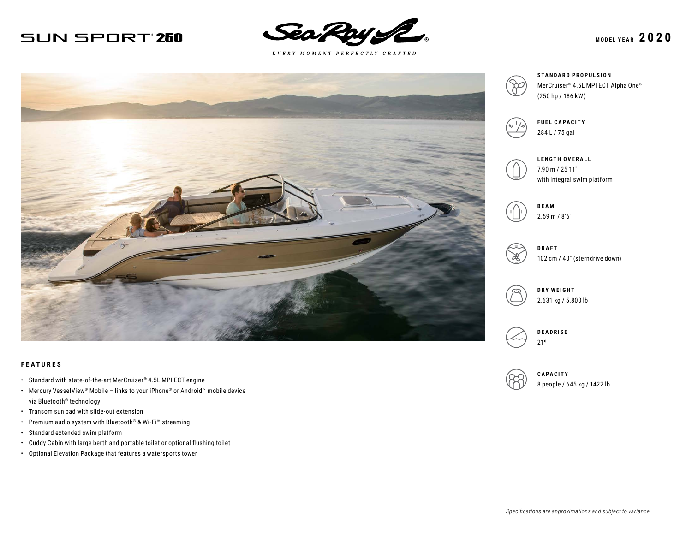## **SUN SPORT 250**



 $E \; V \; E \; R \; Y \quad M \; O \; M \; E \; N \; T \quad P \; E \; R \; F \; E \; C \; T \; L \; Y \quad C \; R \; A \; F \; T \; E \; D$ 



#### **FEATURES**

- Standard with state-of-the-art MerCruiser® 4.5L MPI ECT engine
- Mercury VesselView® Mobile links to your iPhone® or Android™ mobile device via Bluetooth® technology
- Transom sun pad with slide-out extension
- Premium audio system with Bluetooth® & Wi-Fi™ streaming
- Standard extended swim platform
- Cuddy Cabin with large berth and portable toilet or optional flushing toilet
- Optional Elevation Package that features a watersports tower





**STANDARD PROPULSION** MerCruiser® 4.5L MPI ECT Alpha One® (250 hp / 186 kW)



**FUEL CAPACITY** 284 L / 75 gal







102 cm / 40″ (sterndrive down)





**CAPACITY** 8 people / 645 kg / 1422 lb